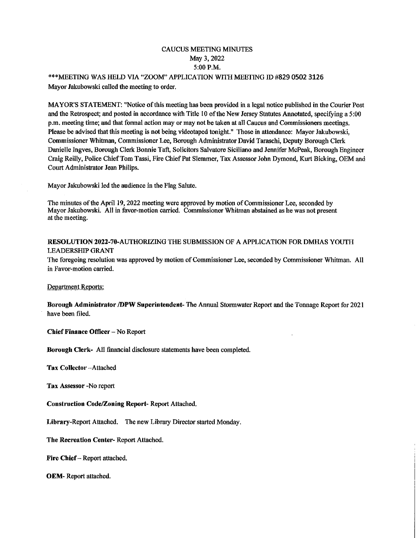# CAUCUS MEETmG MINUTES May 3, 2022 5:00 P.M.

\*\*\*MEETING WAS HELD VIA "ZOOM" APPLICATION WITH MEETING ID #829 0502 3126 Mayor Jakubowski called the meeting to order.

MAYOR'S STATEMENT: "Notice of this meeting has been provided in a legal notice published in the Courier Post and the Retrospect; and posted in accordance with Title 10 of the New Jersey Statutes Annotated, specifying a 5:00 p.m. meeting time; and that formal action may or may not be taken at all Caucus and Commissioners meetings. Please be advised that this meeting is not being videotaped tonight." Those in attendance: Mayor Jakubowski, Commissioner Whihnan, Commissioner Lee, Borough Administrator David Taraschi, Deputy Borough Clerk Danielle Ingves, Borough Clerk Bonnie Taft, Solicitors Salvatore Siciliano and Jennifer McPeak, Borough Engineer Craig Reilly, Police Chief Tom Tassi, Fire Chief Pat Slemmer, Tax Assessor John Dymond, Kurt Bicking, OEM and Court Administrator Jean Philips.

Mayor Jakubowski led the audience in the Flag Salute.

The minutes of the April 19, 2022 meeting were approved by motion of Commissioner Lee, seconded by Mayor Jakubowski. All in favor-motion cmried. Commissioner Whitman abstained as he was not present at the meeting.

### RESOLUTION 2022-70-AUTHORIZING THE SUBMISSION OF A APPLICATION FOR DMHAS YOUTH LEADERSHIP GRANT

The foregoing resolution was approved by motion of Commissioner Lee, seconded by Commissioner Whitman. All in Favor-motion carried.

Department Reports:

Borough Administrator /DPW Superintendent- The Annual Stormwater Report mid the Tonnage Report for 2021 have been ffled.

Chief Finance Officer - No Report

Borough Clerk- All financial disclosure statements have been completed.

Tax Collector -Attached

Tax Assessor -No report

Construction Code/Zoning Report- Report Attached.

Library-Report Attached. The new Library Director started Monday.

The Recreation Center- Report Attached.

Fire Chief - Report attached.

OEM- Report attached.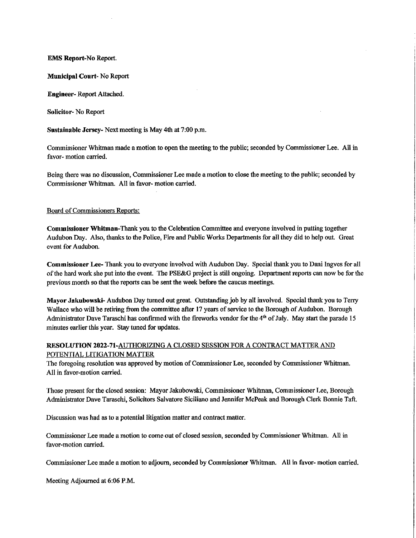#### EMS Report-No Report.

Municipal Court- No Report

Engineer- Report Attached.

Solicitor- No Report

Sustainable Jersey- Next meeting is May 4th at 7:00 p.m.

Commissioner Whitman made a motion to open the meeting to the public; seconded by Commissioner Lee. All in favor- motion carried.

Being there was no discussion, Commissioner Lee made a motion to close the meeting to the public; seconded by Commissioner Whitman. All in favor- motion carried.

#### Board of Commissioners Reports:

Commissioner Whitman-Thank you to the Celebration Committee and everyone involved in putting together Audubon Day. Also, thanks to the Police, Fire and Public Works Departtnents for all they did to help out. Great event for Audubon.

Commissioner Lee- Thank you to everyone involved with Audubon Day. Special thank you to Dani Ingves for all of the hard work she put into the event. The PSE&G project is still ongoing. Department reports can now be for the previous month so that the reports can be sent the week before the caucus meetings.

Mayor Jakubowski- Audubon Day turned out great. Outstanding job by all involved. Special thank you to Terry Wallace who will be retiring from the committee after 17 years of service to the Borough of Audubon. Borough Administrator Dave Taraschi has confirmed with the fireworks vendor for the  $4<sup>th</sup>$  of July. May start the parade 15 minutes earlier this year. Stay tuned for updates.

## RESOLUTION 2022-71-AUTHORIZmG A CLOSED SESSION FOR A CONTRACT MATTER AND POTENTIAL LITIGATION MATTER

The foregoing resolution was approved by motion of Commissioner Lee, seconded by Commissioner Whitman. All in favor-motion carried.

Those present for the closed session: Mayor Jakubowski, Commissioner Whitman, Commissioner Lee, Borough Administrator Dave Taraschi, Solicitors Salvatore Siciliano and Jennifer McPeak and Borough Clerk Bonnie Taft.

Discussion was had as to a potential litigation matter and contract matter.

Commissioner Lee made a motion to come out of closed session, seconded by Commissioner Whittnan. All in favor-motion carried.

Commissioner Lee made a motion to adjoum, seconded by Commissioner Whitman. All in favor- motion camed.

Meeting Adjourned at 6:06 P.M.